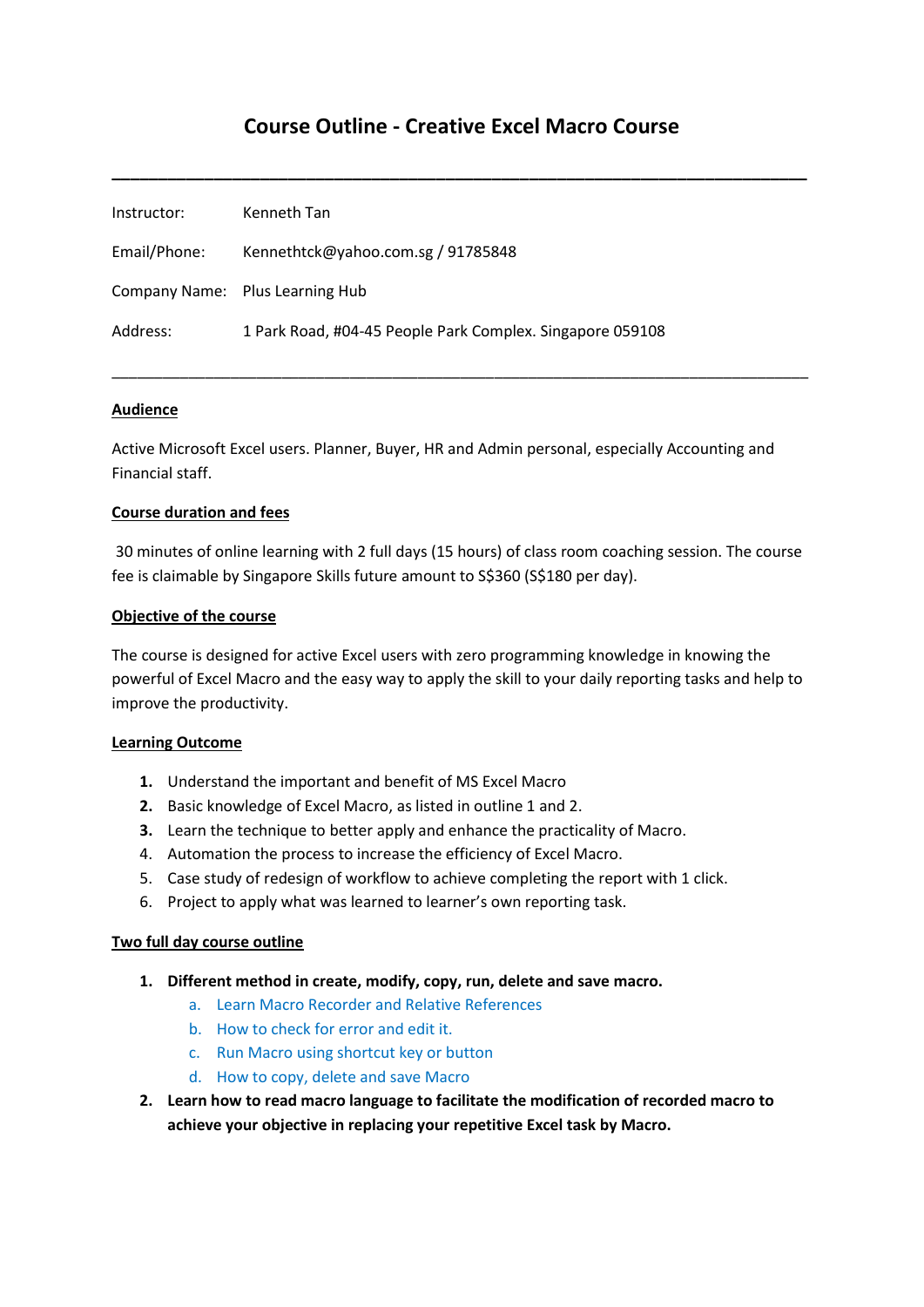# **Course Outline - Creative Excel Macro Course**

**\_\_\_\_\_\_\_\_\_\_\_\_\_\_\_\_\_\_\_\_\_\_\_\_\_\_\_\_\_\_\_\_\_\_\_\_\_\_\_\_\_\_\_\_\_\_\_\_\_\_\_\_\_\_\_\_\_\_\_\_\_\_\_\_\_\_\_\_\_\_\_\_\_\_\_**

| Instructor:  | Kenneth Tan                                               |
|--------------|-----------------------------------------------------------|
| Email/Phone: | Kennethtck@yahoo.com.sg / 91785848                        |
|              | Company Name: Plus Learning Hub                           |
| Address:     | 1 Park Road, #04-45 People Park Complex. Singapore 059108 |

## **Audience**

Active Microsoft Excel users. Planner, Buyer, HR and Admin personal, especially Accounting and Financial staff.

\_\_\_\_\_\_\_\_\_\_\_\_\_\_\_\_\_\_\_\_\_\_\_\_\_\_\_\_\_\_\_\_\_\_\_\_\_\_\_\_\_\_\_\_\_\_\_\_\_\_\_\_\_\_\_\_\_\_\_\_\_\_\_\_\_\_\_\_\_\_\_\_\_\_\_\_\_\_\_\_\_\_

## **Course duration and fees**

30 minutes of online learning with 2 full days (15 hours) of class room coaching session. The course fee is claimable by Singapore Skills future amount to S\$360 (S\$180 per day).

## **Objective of the course**

The course is designed for active Excel users with zero programming knowledge in knowing the powerful of Excel Macro and the easy way to apply the skill to your daily reporting tasks and help to improve the productivity.

## **Learning Outcome**

- **1.** Understand the important and benefit of MS Excel Macro
- **2.** Basic knowledge of Excel Macro, as listed in outline 1 and 2.
- **3.** Learn the technique to better apply and enhance the practicality of Macro.
- 4. Automation the process to increase the efficiency of Excel Macro.
- 5. Case study of redesign of workflow to achieve completing the report with 1 click.
- 6. Project to apply what was learned to learner's own reporting task.

## **Two full day course outline**

- **1. Different method in create, modify, copy, run, delete and save macro.**
	- a. Learn Macro Recorder and Relative References
	- b. How to check for error and edit it.
	- c. Run Macro using shortcut key or button
	- d. How to copy, delete and save Macro
- **2. Learn how to read macro language to facilitate the modification of recorded macro to achieve your objective in replacing your repetitive Excel task by Macro.**